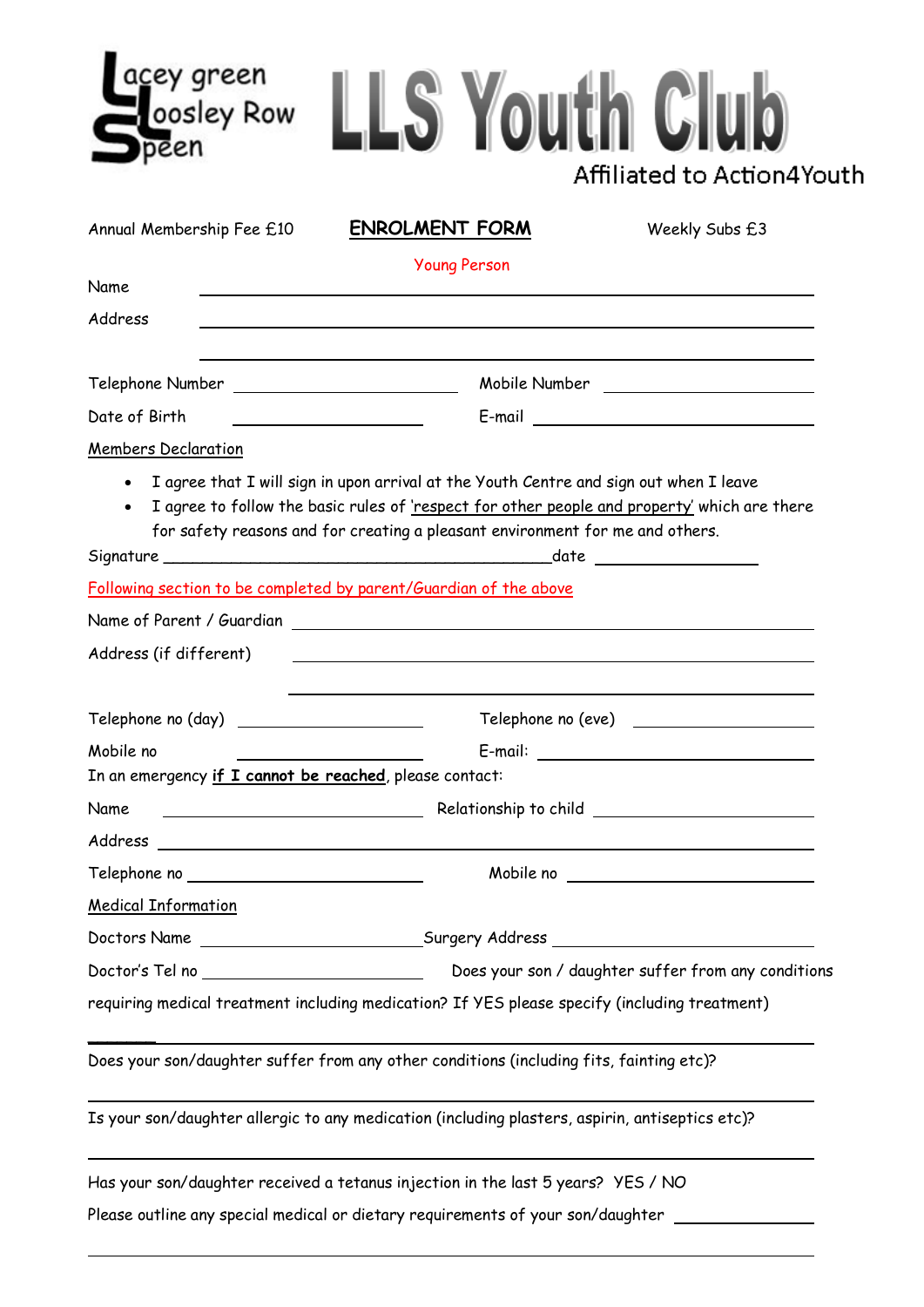| cey green<br>Loosley Row<br>peen | <b>LS Youth Club</b>  | Affiliated to Action4Youth |
|----------------------------------|-----------------------|----------------------------|
| Annual Membership Fee £10        | <b>ENROLMENT FORM</b> | Weekly Subs £3             |
|                                  | <b>Young Person</b>   |                            |
| Name                             |                       |                            |
| Address                          |                       |                            |

| Telephone Number | Mobile Number |  |
|------------------|---------------|--|
|                  |               |  |

Date of Birth E-mail

Members Declaration

• I agree that I will sign in upon arrival at the Youth Centre and sign out when I leave

Signature \_\_\_\_\_\_\_\_\_\_\_\_\_\_\_\_\_\_\_\_\_\_\_\_\_\_\_\_\_\_\_\_\_\_\_\_\_\_\_\_date

• I agree to follow the basic rules of 'respect for other people and property' which are there for safety reasons and for creating a pleasant environment for me and others.

| Address (if different)                                                                       |                                                                                                 |  |  |
|----------------------------------------------------------------------------------------------|-------------------------------------------------------------------------------------------------|--|--|
| Telephone no (day) _______________________                                                   |                                                                                                 |  |  |
| Mobile no<br>the contract of the contract of the contract of the contract of the contract of |                                                                                                 |  |  |
| In an emergency if I cannot be reached, please contact:                                      |                                                                                                 |  |  |
|                                                                                              |                                                                                                 |  |  |
|                                                                                              |                                                                                                 |  |  |
| Telephone no _________________________                                                       |                                                                                                 |  |  |
| <b>Medical Information</b>                                                                   |                                                                                                 |  |  |
|                                                                                              | Doctors Name _______________________________Surgery Address ____________________                |  |  |
|                                                                                              |                                                                                                 |  |  |
|                                                                                              | requiring medical treatment including medication? If YES please specify (including treatment)   |  |  |
|                                                                                              | Does your son/daughter suffer from any other conditions (including fits, fainting etc)?         |  |  |
|                                                                                              | Is your son/daughter allergic to any medication (including plasters, aspirin, antiseptics etc)? |  |  |

Has your son/daughter received a tetanus injection in the last 5 years? YES / NO

Please outline any special medical or dietary requirements of your son/daughter \_\_\_\_\_\_\_\_\_\_\_\_\_\_\_\_\_\_\_\_\_\_\_\_\_\_\_\_\_\_